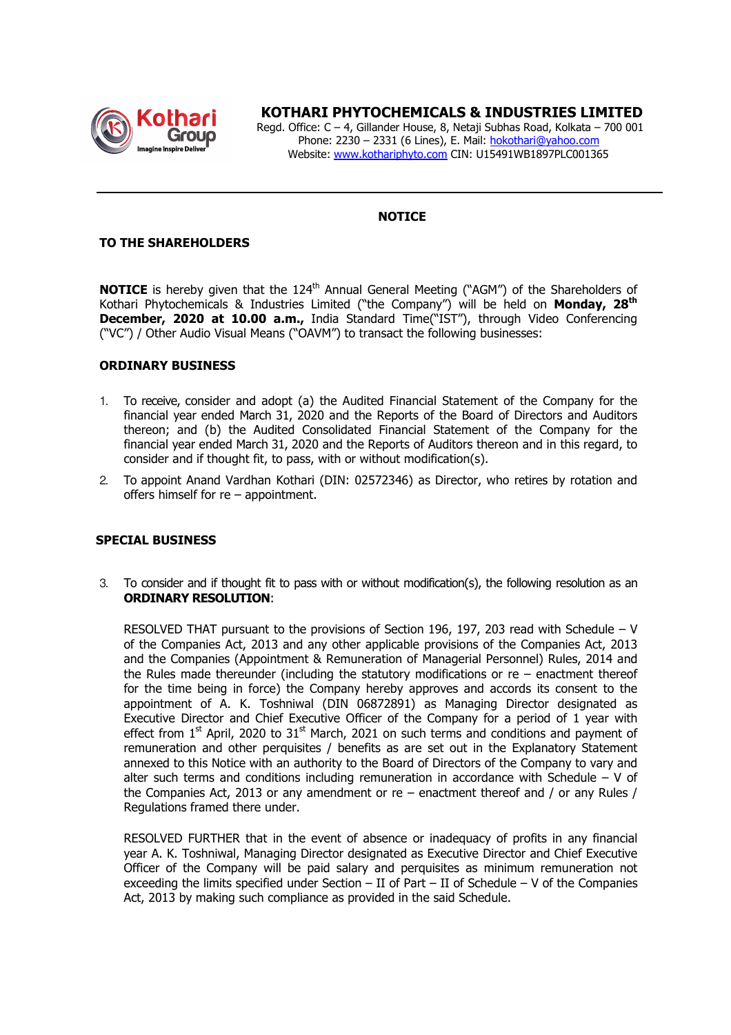

# **KOTHARI PHYTOCHEMICALS & INDUSTRIES LIMITED**

 Regd. Office: C – 4, Gillander House, 8, Netaji Subhas Road, Kolkata – 700 001 Phone: 2230 - 2331 (6 Lines), E. Mail: hokothari@yahoo.com Website: www.kothariphyto.com CIN: U15491WB1897PLC001365

## **NOTICE**

### **TO THE SHAREHOLDERS**

**NOTICE** is hereby given that the 124<sup>th</sup> Annual General Meeting ("AGM") of the Shareholders of Kothari Phytochemicals & Industries Limited ("the Company") will be held on **Monday, 28th December, 2020 at 10.00 a.m.,** India Standard Time("IST"), through Video Conferencing ("VC") / Other Audio Visual Means ("OAVM") to transact the following businesses:

#### **ORDINARY BUSINESS**

- 1. To receive, consider and adopt (a) the Audited Financial Statement of the Company for the financial year ended March 31, 2020 and the Reports of the Board of Directors and Auditors thereon; and (b) the Audited Consolidated Financial Statement of the Company for the financial year ended March 31, 2020 and the Reports of Auditors thereon and in this regard, to consider and if thought fit, to pass, with or without modification(s).
- 2. To appoint Anand Vardhan Kothari (DIN: 02572346) as Director, who retires by rotation and offers himself for re – appointment.

#### **SPECIAL BUSINESS**

3. To consider and if thought fit to pass with or without modification(s), the following resolution as an **ORDINARY RESOLUTION**:

RESOLVED THAT pursuant to the provisions of Section 196, 197, 203 read with Schedule – V of the Companies Act, 2013 and any other applicable provisions of the Companies Act, 2013 and the Companies (Appointment & Remuneration of Managerial Personnel) Rules, 2014 and the Rules made thereunder (including the statutory modifications or  $re$  – enactment thereof for the time being in force) the Company hereby approves and accords its consent to the appointment of A. K. Toshniwal (DIN 06872891) as Managing Director designated as Executive Director and Chief Executive Officer of the Company for a period of 1 year with effect from  $1<sup>st</sup>$  April, 2020 to  $31<sup>st</sup>$  March, 2021 on such terms and conditions and payment of remuneration and other perquisites / benefits as are set out in the Explanatory Statement annexed to this Notice with an authority to the Board of Directors of the Company to vary and alter such terms and conditions including remuneration in accordance with Schedule  $-$  V of the Companies Act, 2013 or any amendment or  $re$  – enactment thereof and / or any Rules / Regulations framed there under.

RESOLVED FURTHER that in the event of absence or inadequacy of profits in any financial year A. K. Toshniwal, Managing Director designated as Executive Director and Chief Executive Officer of the Company will be paid salary and perquisites as minimum remuneration not exceeding the limits specified under Section – II of Part – II of Schedule – V of the Companies Act, 2013 by making such compliance as provided in the said Schedule.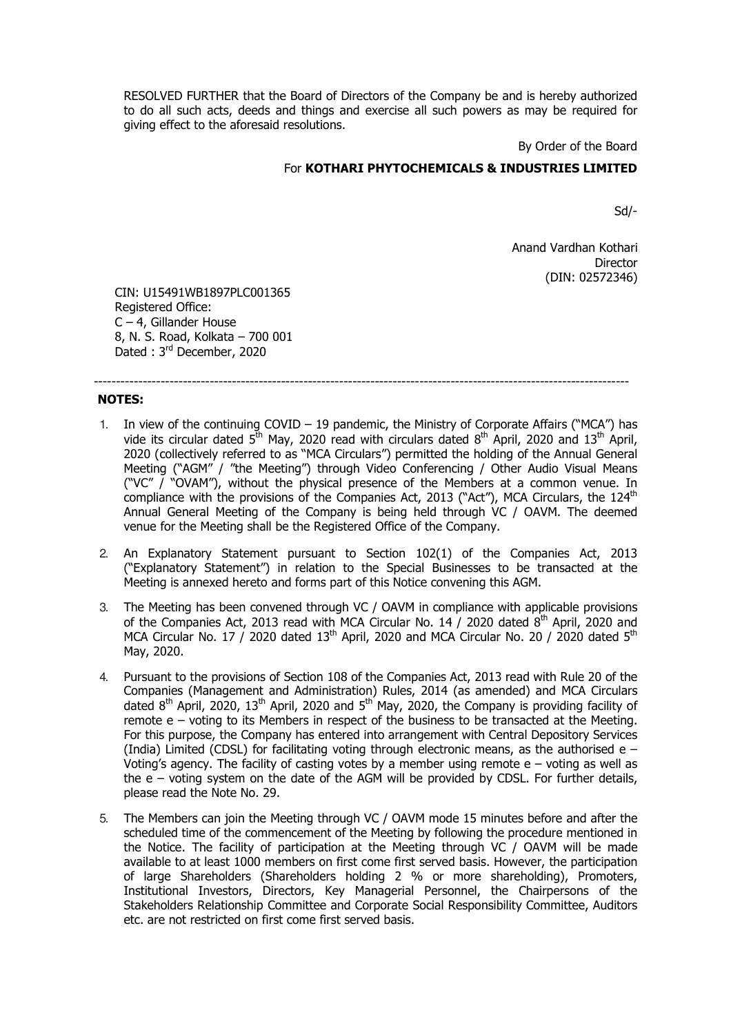RESOLVED FURTHER that the Board of Directors of the Company be and is hereby authorized to do all such acts, deeds and things and exercise all such powers as may be required for giving effect to the aforesaid resolutions.

By Order of the Board

## For **KOTHARI PHYTOCHEMICALS & INDUSTRIES LIMITED**

------------------------------------------------------------------------------------------------------------------------

Sd/-

Anand Vardhan Kothari **Director** (DIN: 02572346)

CIN: U15491WB1897PLC001365 Registered Office: C – 4, Gillander House 8, N. S. Road, Kolkata – 700 001 Dated : 3rd December, 2020

#### **NOTES:**

- 1. In view of the continuing COVID 19 pandemic, the Ministry of Corporate Affairs ("MCA") has vide its circular dated  $5<sup>th</sup>$  May, 2020 read with circulars dated  $8<sup>th</sup>$  April, 2020 and 13<sup>th</sup> April, 2020 (collectively referred to as "MCA Circulars") permitted the holding of the Annual General Meeting ("AGM" / "the Meeting") through Video Conferencing / Other Audio Visual Means ("VC" / "OVAM"), without the physical presence of the Members at a common venue. In compliance with the provisions of the Companies Act, 2013 ("Act"), MCA Circulars, the 124<sup>th</sup> Annual General Meeting of the Company is being held through VC / OAVM. The deemed venue for the Meeting shall be the Registered Office of the Company.
- 2. An Explanatory Statement pursuant to Section 102(1) of the Companies Act, 2013 ("Explanatory Statement") in relation to the Special Businesses to be transacted at the Meeting is annexed hereto and forms part of this Notice convening this AGM.
- 3. The Meeting has been convened through VC / OAVM in compliance with applicable provisions of the Companies Act, 2013 read with MCA Circular No. 14 / 2020 dated  $8<sup>th</sup>$  April, 2020 and MCA Circular No. 17 / 2020 dated  $13<sup>th</sup>$  April, 2020 and MCA Circular No. 20 / 2020 dated  $5<sup>th</sup>$ May, 2020.
- 4. Pursuant to the provisions of Section 108 of the Companies Act, 2013 read with Rule 20 of the Companies (Management and Administration) Rules, 2014 (as amended) and MCA Circulars dated  $8<sup>th</sup>$  April, 2020, 13<sup>th</sup> April, 2020 and  $5<sup>th</sup>$  May, 2020, the Company is providing facility of remote e – voting to its Members in respect of the business to be transacted at the Meeting. For this purpose, the Company has entered into arrangement with Central Depository Services (India) Limited (CDSL) for facilitating voting through electronic means, as the authorised e – Voting's agency. The facility of casting votes by a member using remote  $e - voting$  as well as the e – voting system on the date of the AGM will be provided by CDSL. For further details, please read the Note No. 29.
- 5. The Members can join the Meeting through VC / OAVM mode 15 minutes before and after the scheduled time of the commencement of the Meeting by following the procedure mentioned in the Notice. The facility of participation at the Meeting through VC / OAVM will be made available to at least 1000 members on first come first served basis. However, the participation of large Shareholders (Shareholders holding 2 % or more shareholding), Promoters, Institutional Investors, Directors, Key Managerial Personnel, the Chairpersons of the Stakeholders Relationship Committee and Corporate Social Responsibility Committee, Auditors etc. are not restricted on first come first served basis.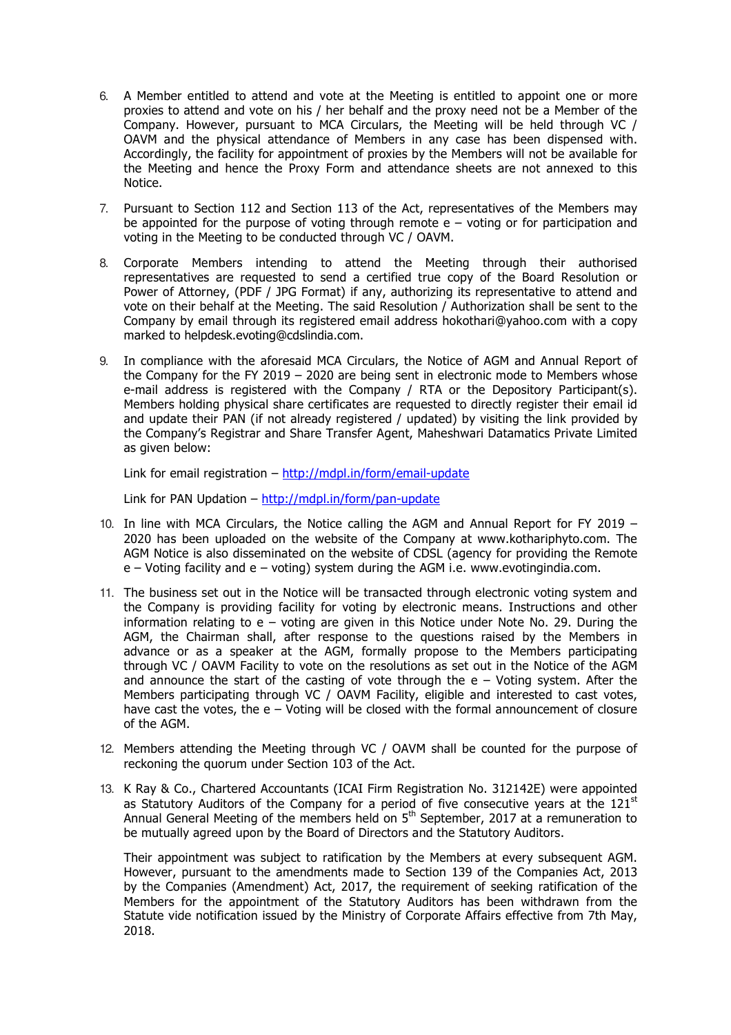- 6. A Member entitled to attend and vote at the Meeting is entitled to appoint one or more proxies to attend and vote on his / her behalf and the proxy need not be a Member of the Company. However, pursuant to MCA Circulars, the Meeting will be held through VC / OAVM and the physical attendance of Members in any case has been dispensed with. Accordingly, the facility for appointment of proxies by the Members will not be available for the Meeting and hence the Proxy Form and attendance sheets are not annexed to this Notice.
- 7. Pursuant to Section 112 and Section 113 of the Act, representatives of the Members may be appointed for the purpose of voting through remote  $e - v$ oting or for participation and voting in the Meeting to be conducted through VC / OAVM.
- 8. Corporate Members intending to attend the Meeting through their authorised representatives are requested to send a certified true copy of the Board Resolution or Power of Attorney, (PDF / JPG Format) if any, authorizing its representative to attend and vote on their behalf at the Meeting. The said Resolution / Authorization shall be sent to the Company by email through its registered email address hokothari@yahoo.com with a copy marked to helpdesk.evoting@cdslindia.com.
- 9. In compliance with the aforesaid MCA Circulars, the Notice of AGM and Annual Report of the Company for the FY 2019 – 2020 are being sent in electronic mode to Members whose e-mail address is registered with the Company / RTA or the Depository Participant(s). Members holding physical share certificates are requested to directly register their email id and update their PAN (if not already registered / updated) by visiting the link provided by the Company's Registrar and Share Transfer Agent, Maheshwari Datamatics Private Limited as given below:

Link for email registration – http://mdpl.in/form/email-update

Link for PAN Updation - http://mdpl.in/form/pan-update

- 10. In line with MCA Circulars, the Notice calling the AGM and Annual Report for FY 2019 2020 has been uploaded on the website of the Company at www.kothariphyto.com. The AGM Notice is also disseminated on the website of CDSL (agency for providing the Remote e – Voting facility and e – voting) system during the AGM i.e. www.evotingindia.com.
- 11. The business set out in the Notice will be transacted through electronic voting system and the Company is providing facility for voting by electronic means. Instructions and other information relating to e – voting are given in this Notice under Note No. 29. During the AGM, the Chairman shall, after response to the questions raised by the Members in advance or as a speaker at the AGM, formally propose to the Members participating through VC / OAVM Facility to vote on the resolutions as set out in the Notice of the AGM and announce the start of the casting of vote through the  $e -$  Voting system. After the Members participating through VC / OAVM Facility, eligible and interested to cast votes, have cast the votes, the e – Voting will be closed with the formal announcement of closure of the AGM.
- 12. Members attending the Meeting through VC / OAVM shall be counted for the purpose of reckoning the quorum under Section 103 of the Act.
- 13. K Ray & Co., Chartered Accountants (ICAI Firm Registration No. 312142E) were appointed as Statutory Auditors of the Company for a period of five consecutive years at the  $121<sup>st</sup>$ Annual General Meeting of the members held on  $5<sup>th</sup>$  September, 2017 at a remuneration to be mutually agreed upon by the Board of Directors and the Statutory Auditors.

Their appointment was subject to ratification by the Members at every subsequent AGM. However, pursuant to the amendments made to Section 139 of the Companies Act, 2013 by the Companies (Amendment) Act, 2017, the requirement of seeking ratification of the Members for the appointment of the Statutory Auditors has been withdrawn from the Statute vide notification issued by the Ministry of Corporate Affairs effective from 7th May, 2018.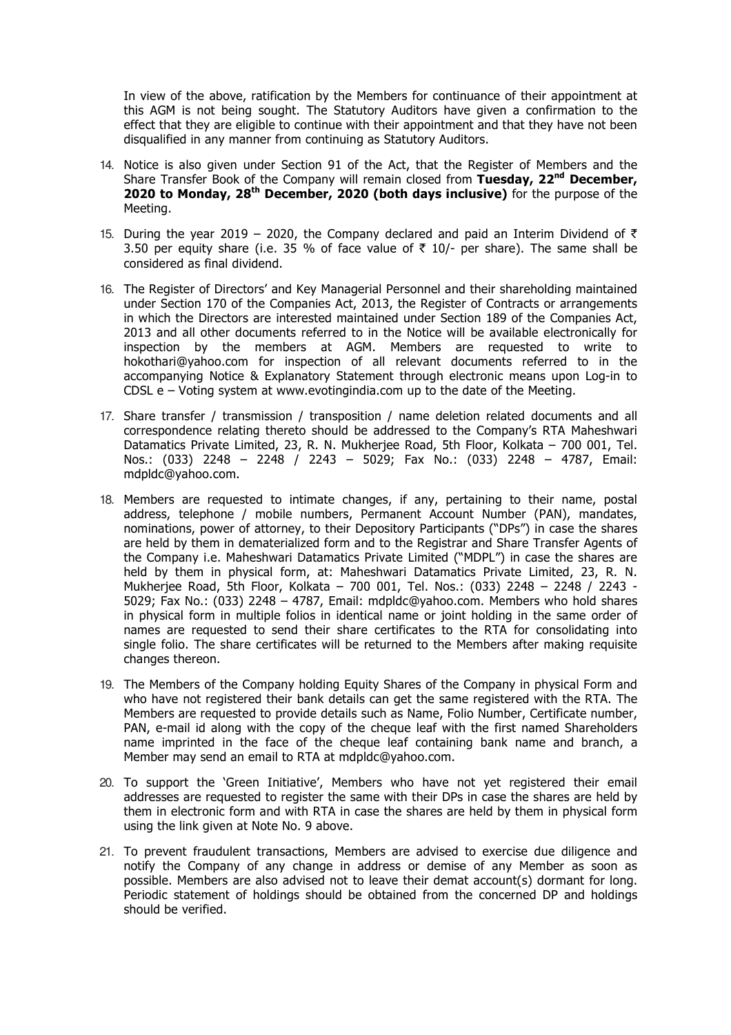In view of the above, ratification by the Members for continuance of their appointment at this AGM is not being sought. The Statutory Auditors have given a confirmation to the effect that they are eligible to continue with their appointment and that they have not been disqualified in any manner from continuing as Statutory Auditors.

- 14. Notice is also given under Section 91 of the Act, that the Register of Members and the Share Transfer Book of the Company will remain closed from **Tuesday, 22nd December, 2020 to Monday, 28th December, 2020 (both days inclusive)** for the purpose of the Meeting.
- 15. During the year 2019 2020, the Company declared and paid an Interim Dividend of  $\bar{\tau}$ 3.50 per equity share (i.e. 35 % of face value of  $\bar{\tau}$  10/- per share). The same shall be considered as final dividend.
- 16. The Register of Directors' and Key Managerial Personnel and their shareholding maintained under Section 170 of the Companies Act, 2013, the Register of Contracts or arrangements in which the Directors are interested maintained under Section 189 of the Companies Act, 2013 and all other documents referred to in the Notice will be available electronically for inspection by the members at AGM. Members are requested to write to hokothari@yahoo.com for inspection of all relevant documents referred to in the accompanying Notice & Explanatory Statement through electronic means upon Log-in to CDSL e – Voting system at www.evotingindia.com up to the date of the Meeting.
- 17. Share transfer / transmission / transposition / name deletion related documents and all correspondence relating thereto should be addressed to the Company's RTA Maheshwari Datamatics Private Limited, 23, R. N. Mukherjee Road, 5th Floor, Kolkata – 700 001, Tel. Nos.: (033) 2248 – 2248 / 2243 – 5029; Fax No.: (033) 2248 – 4787, Email: mdpldc@yahoo.com.
- 18. Members are requested to intimate changes, if any, pertaining to their name, postal address, telephone / mobile numbers, Permanent Account Number (PAN), mandates, nominations, power of attorney, to their Depository Participants ("DPs") in case the shares are held by them in dematerialized form and to the Registrar and Share Transfer Agents of the Company i.e. Maheshwari Datamatics Private Limited ("MDPL") in case the shares are held by them in physical form, at: Maheshwari Datamatics Private Limited, 23, R. N. Mukherjee Road, 5th Floor, Kolkata – 700 001, Tel. Nos.: (033) 2248 – 2248 / 2243 - 5029; Fax No.: (033) 2248 – 4787, Email: mdpldc@yahoo.com. Members who hold shares in physical form in multiple folios in identical name or joint holding in the same order of names are requested to send their share certificates to the RTA for consolidating into single folio. The share certificates will be returned to the Members after making requisite changes thereon.
- 19. The Members of the Company holding Equity Shares of the Company in physical Form and who have not registered their bank details can get the same registered with the RTA. The Members are requested to provide details such as Name, Folio Number, Certificate number, PAN, e-mail id along with the copy of the cheque leaf with the first named Shareholders name imprinted in the face of the cheque leaf containing bank name and branch, a Member may send an email to RTA at mdpldc@yahoo.com.
- 20. To support the 'Green Initiative', Members who have not yet registered their email addresses are requested to register the same with their DPs in case the shares are held by them in electronic form and with RTA in case the shares are held by them in physical form using the link given at Note No. 9 above.
- 21. To prevent fraudulent transactions, Members are advised to exercise due diligence and notify the Company of any change in address or demise of any Member as soon as possible. Members are also advised not to leave their demat account(s) dormant for long. Periodic statement of holdings should be obtained from the concerned DP and holdings should be verified.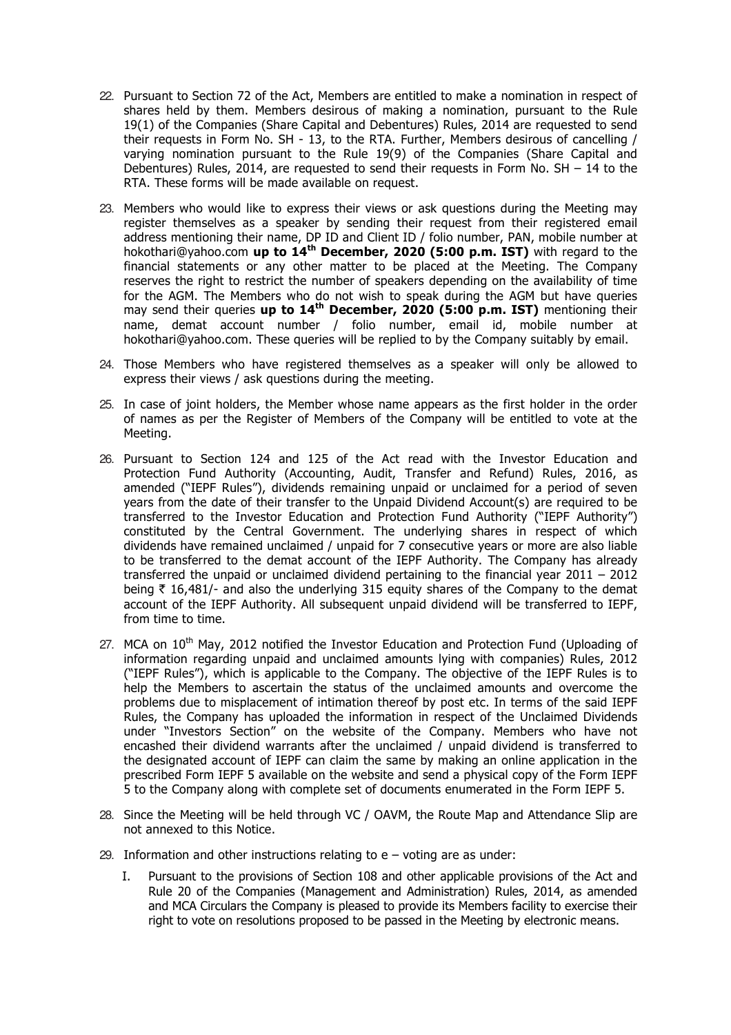- 22. Pursuant to Section 72 of the Act, Members are entitled to make a nomination in respect of shares held by them. Members desirous of making a nomination, pursuant to the Rule 19(1) of the Companies (Share Capital and Debentures) Rules, 2014 are requested to send their requests in Form No. SH - 13, to the RTA. Further, Members desirous of cancelling / varying nomination pursuant to the Rule 19(9) of the Companies (Share Capital and Debentures) Rules, 2014, are requested to send their requests in Form No.  $SH - 14$  to the RTA. These forms will be made available on request.
- 23. Members who would like to express their views or ask questions during the Meeting may register themselves as a speaker by sending their request from their registered email address mentioning their name, DP ID and Client ID / folio number, PAN, mobile number at hokothari@yahoo.com **up to 14th December, 2020 (5:00 p.m. IST)** with regard to the financial statements or any other matter to be placed at the Meeting. The Company reserves the right to restrict the number of speakers depending on the availability of time for the AGM. The Members who do not wish to speak during the AGM but have queries may send their queries **up to 14th December, 2020 (5:00 p.m. IST)** mentioning their name, demat account number / folio number, email id, mobile number at hokothari@yahoo.com. These queries will be replied to by the Company suitably by email.
- 24. Those Members who have registered themselves as a speaker will only be allowed to express their views / ask questions during the meeting.
- 25. In case of joint holders, the Member whose name appears as the first holder in the order of names as per the Register of Members of the Company will be entitled to vote at the Meeting.
- 26. Pursuant to Section 124 and 125 of the Act read with the Investor Education and Protection Fund Authority (Accounting, Audit, Transfer and Refund) Rules, 2016, as amended ("IEPF Rules"), dividends remaining unpaid or unclaimed for a period of seven years from the date of their transfer to the Unpaid Dividend Account(s) are required to be transferred to the Investor Education and Protection Fund Authority ("IEPF Authority") constituted by the Central Government. The underlying shares in respect of which dividends have remained unclaimed / unpaid for 7 consecutive years or more are also liable to be transferred to the demat account of the IEPF Authority. The Company has already transferred the unpaid or unclaimed dividend pertaining to the financial year 2011 – 2012 being  $\bar{\tau}$  16,481/- and also the underlying 315 equity shares of the Company to the demat account of the IEPF Authority. All subsequent unpaid dividend will be transferred to IEPF, from time to time.
- 27. MCA on 10<sup>th</sup> May, 2012 notified the Investor Education and Protection Fund (Uploading of information regarding unpaid and unclaimed amounts lying with companies) Rules, 2012 ("IEPF Rules"), which is applicable to the Company. The objective of the IEPF Rules is to help the Members to ascertain the status of the unclaimed amounts and overcome the problems due to misplacement of intimation thereof by post etc. In terms of the said IEPF Rules, the Company has uploaded the information in respect of the Unclaimed Dividends under "Investors Section" on the website of the Company. Members who have not encashed their dividend warrants after the unclaimed / unpaid dividend is transferred to the designated account of IEPF can claim the same by making an online application in the prescribed Form IEPF 5 available on the website and send a physical copy of the Form IEPF 5 to the Company along with complete set of documents enumerated in the Form IEPF 5.
- 28. Since the Meeting will be held through VC / OAVM, the Route Map and Attendance Slip are not annexed to this Notice.
- 29. Information and other instructions relating to e voting are as under:
	- I. Pursuant to the provisions of Section 108 and other applicable provisions of the Act and Rule 20 of the Companies (Management and Administration) Rules, 2014, as amended and MCA Circulars the Company is pleased to provide its Members facility to exercise their right to vote on resolutions proposed to be passed in the Meeting by electronic means.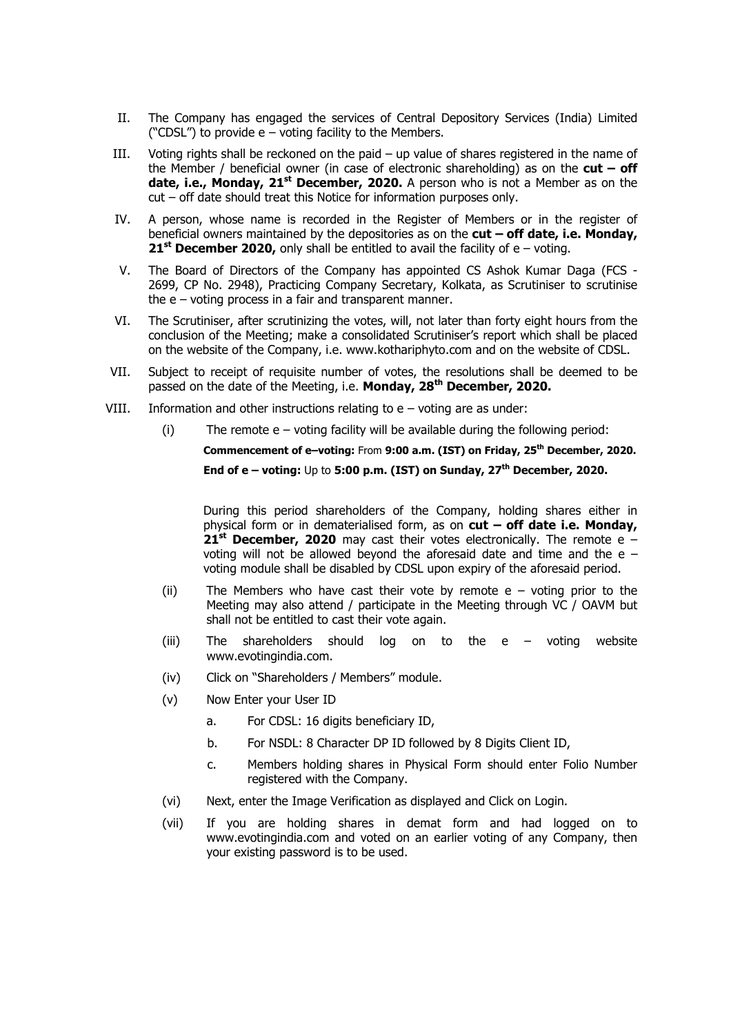- II. The Company has engaged the services of Central Depository Services (India) Limited ("CDSL") to provide e – voting facility to the Members.
- III. Voting rights shall be reckoned on the paid up value of shares registered in the name of the Member / beneficial owner (in case of electronic shareholding) as on the **cut – off date, i.e., Monday, 21st December, 2020.** A person who is not a Member as on the cut – off date should treat this Notice for information purposes only.
- IV. A person, whose name is recorded in the Register of Members or in the register of beneficial owners maintained by the depositories as on the **cut – off date, i.e. Monday, 21st December 2020,** only shall be entitled to avail the facility of e – voting.
- V. The Board of Directors of the Company has appointed CS Ashok Kumar Daga (FCS 2699, CP No. 2948), Practicing Company Secretary, Kolkata, as Scrutiniser to scrutinise the  $e$  – voting process in a fair and transparent manner.
- VI. The Scrutiniser, after scrutinizing the votes, will, not later than forty eight hours from the conclusion of the Meeting; make a consolidated Scrutiniser's report which shall be placed on the website of the Company, i.e. www.kothariphyto.com and on the website of CDSL.
- VII. Subject to receipt of requisite number of votes, the resolutions shall be deemed to be passed on the date of the Meeting, i.e. **Monday, 28th December, 2020.**
- VIII. Information and other instructions relating to  $e$  voting are as under:
	- $(i)$  The remote  $e votina$  facility will be available during the following period:

**Commencement of e–voting:** From **9:00 a.m. (IST) on Friday, 25th December, 2020. End of e – voting:** Up to **5:00 p.m. (IST) on Sunday, 27th December, 2020.**

During this period shareholders of the Company, holding shares either in physical form or in dematerialised form, as on **cut – off date i.e. Monday, 21st December, 2020** may cast their votes electronically. The remote e – voting will not be allowed beyond the aforesaid date and time and the e – voting module shall be disabled by CDSL upon expiry of the aforesaid period.

- (ii) The Members who have cast their vote by remote e voting prior to the Meeting may also attend / participate in the Meeting through VC / OAVM but shall not be entitled to cast their vote again.
- (iii) The shareholders should log on to the e voting website www.evotingindia.com.
- (iv) Click on "Shareholders / Members" module.
- (v) Now Enter your User ID
	- a. For CDSL: 16 digits beneficiary ID,
	- b. For NSDL: 8 Character DP ID followed by 8 Digits Client ID,
	- c. Members holding shares in Physical Form should enter Folio Number registered with the Company.
- (vi) Next, enter the Image Verification as displayed and Click on Login.
- (vii) If you are holding shares in demat form and had logged on to www.evotingindia.com and voted on an earlier voting of any Company, then your existing password is to be used.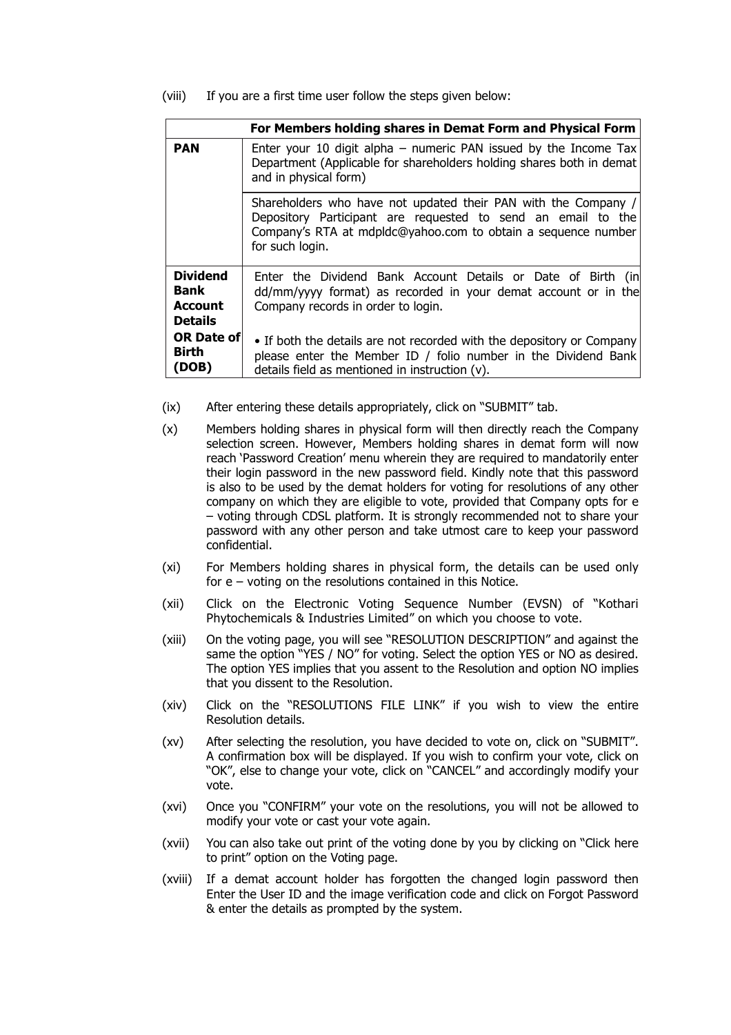(viii) If you are a first time user follow the steps given below:

| For Members holding shares in Demat Form and Physical Form |                                                                                                                                                                                                                    |  |  |
|------------------------------------------------------------|--------------------------------------------------------------------------------------------------------------------------------------------------------------------------------------------------------------------|--|--|
| <b>PAN</b>                                                 | Enter your 10 digit alpha $-$ numeric PAN issued by the Income Tax<br>Department (Applicable for shareholders holding shares both in demat<br>and in physical form)                                                |  |  |
|                                                            | Shareholders who have not updated their PAN with the Company /<br>Depository Participant are requested to send an email to the<br>Company's RTA at mdpldc@yahoo.com to obtain a sequence number<br>for such login. |  |  |
| <b>Dividend</b><br>Bank<br>Account<br><b>Details</b>       | Enter the Dividend Bank Account Details or Date of Birth (in<br>dd/mm/yyyy format) as recorded in your demat account or in the<br>Company records in order to login.                                               |  |  |
| <b>OR Date of</b><br><b>Birth</b><br>(DOB)                 | • If both the details are not recorded with the depository or Company<br>please enter the Member ID / folio number in the Dividend Bank<br>details field as mentioned in instruction (v).                          |  |  |

- (ix) After entering these details appropriately, click on "SUBMIT" tab.
- (x) Members holding shares in physical form will then directly reach the Company selection screen. However, Members holding shares in demat form will now reach 'Password Creation' menu wherein they are required to mandatorily enter their login password in the new password field. Kindly note that this password is also to be used by the demat holders for voting for resolutions of any other company on which they are eligible to vote, provided that Company opts for e – voting through CDSL platform. It is strongly recommended not to share your password with any other person and take utmost care to keep your password confidential.
- (xi) For Members holding shares in physical form, the details can be used only for e – voting on the resolutions contained in this Notice.
- (xii) Click on the Electronic Voting Sequence Number (EVSN) of "Kothari Phytochemicals & Industries Limited" on which you choose to vote.
- (xiii) On the voting page, you will see "RESOLUTION DESCRIPTION" and against the same the option "YES / NO" for voting. Select the option YES or NO as desired. The option YES implies that you assent to the Resolution and option NO implies that you dissent to the Resolution.
- (xiv) Click on the "RESOLUTIONS FILE LINK" if you wish to view the entire Resolution details.
- (xv) After selecting the resolution, you have decided to vote on, click on "SUBMIT". A confirmation box will be displayed. If you wish to confirm your vote, click on "OK", else to change your vote, click on "CANCEL" and accordingly modify your vote.
- (xvi) Once you "CONFIRM" your vote on the resolutions, you will not be allowed to modify your vote or cast your vote again.
- (xvii) You can also take out print of the voting done by you by clicking on "Click here to print" option on the Voting page.
- (xviii) If a demat account holder has forgotten the changed login password then Enter the User ID and the image verification code and click on Forgot Password & enter the details as prompted by the system.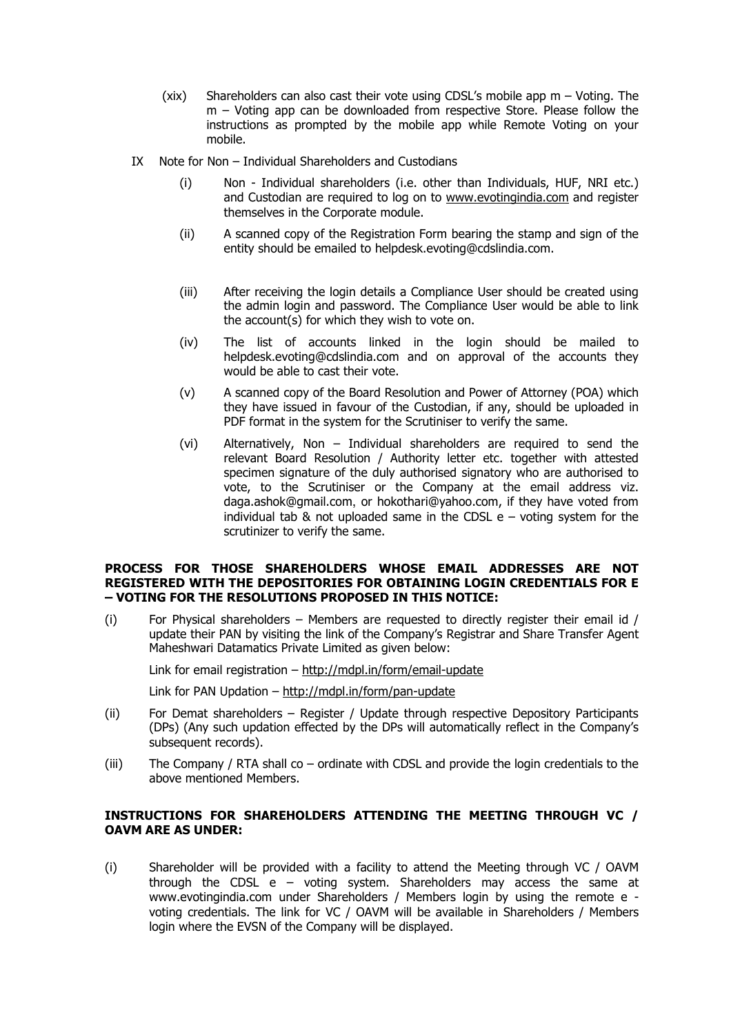- (xix) Shareholders can also cast their vote using CDSL's mobile app m Voting. The m – Voting app can be downloaded from respective Store. Please follow the instructions as prompted by the mobile app while Remote Voting on your mobile.
- IX Note for Non Individual Shareholders and Custodians
	- (i) Non Individual shareholders (i.e. other than Individuals, HUF, NRI etc.) and Custodian are required to log on to www.evotingindia.com and register themselves in the Corporate module.
	- (ii) A scanned copy of the Registration Form bearing the stamp and sign of the entity should be emailed to helpdesk.evoting@cdslindia.com.
	- (iii) After receiving the login details a Compliance User should be created using the admin login and password. The Compliance User would be able to link the account(s) for which they wish to vote on.
	- (iv) The list of accounts linked in the login should be mailed to helpdesk.evoting@cdslindia.com and on approval of the accounts they would be able to cast their vote.
	- (v) A scanned copy of the Board Resolution and Power of Attorney (POA) which they have issued in favour of the Custodian, if any, should be uploaded in PDF format in the system for the Scrutiniser to verify the same.
	- (vi) Alternatively, Non Individual shareholders are required to send the relevant Board Resolution / Authority letter etc. together with attested specimen signature of the duly authorised signatory who are authorised to vote, to the Scrutiniser or the Company at the email address viz. daga.ashok@gmail.com, or hokothari@yahoo.com, if they have voted from individual tab & not uploaded same in the CDSL  $e$  – voting system for the scrutinizer to verify the same.

#### **PROCESS FOR THOSE SHAREHOLDERS WHOSE EMAIL ADDRESSES ARE NOT REGISTERED WITH THE DEPOSITORIES FOR OBTAINING LOGIN CREDENTIALS FOR E – VOTING FOR THE RESOLUTIONS PROPOSED IN THIS NOTICE:**

(i) For Physical shareholders – Members are requested to directly register their email id  $/$ update their PAN by visiting the link of the Company's Registrar and Share Transfer Agent Maheshwari Datamatics Private Limited as given below:

Link for email registration – http://mdpl.in/form/email-update

Link for PAN Updation – http://mdpl.in/form/pan-update

- (ii) For Demat shareholders Register / Update through respective Depository Participants (DPs) (Any such updation effected by the DPs will automatically reflect in the Company's subsequent records).
- (iii) The Company / RTA shall co ordinate with CDSL and provide the login credentials to the above mentioned Members.

## **INSTRUCTIONS FOR SHAREHOLDERS ATTENDING THE MEETING THROUGH VC / OAVM ARE AS UNDER:**

(i) Shareholder will be provided with a facility to attend the Meeting through VC / OAVM through the CDSL  $e - voting$  system. Shareholders may access the same at www.evotingindia.com under Shareholders / Members login by using the remote e voting credentials. The link for VC / OAVM will be available in Shareholders / Members login where the EVSN of the Company will be displayed.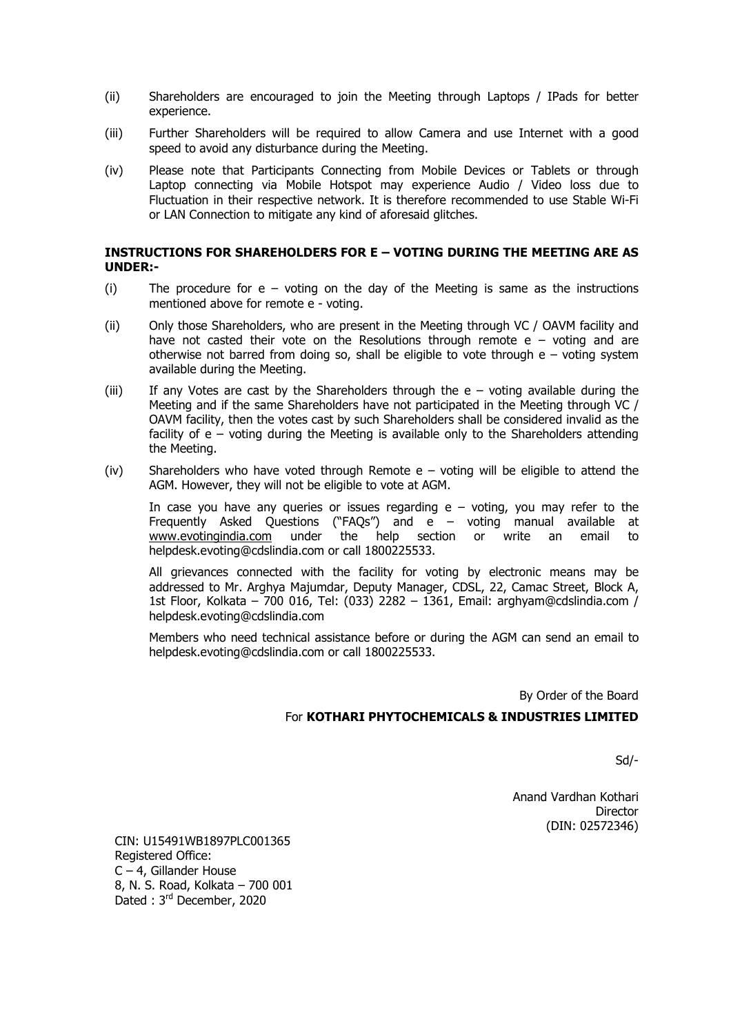- (ii) Shareholders are encouraged to join the Meeting through Laptops / IPads for better experience.
- (iii) Further Shareholders will be required to allow Camera and use Internet with a good speed to avoid any disturbance during the Meeting.
- (iv) Please note that Participants Connecting from Mobile Devices or Tablets or through Laptop connecting via Mobile Hotspot may experience Audio / Video loss due to Fluctuation in their respective network. It is therefore recommended to use Stable Wi-Fi or LAN Connection to mitigate any kind of aforesaid glitches.

### **INSTRUCTIONS FOR SHAREHOLDERS FOR E – VOTING DURING THE MEETING ARE AS UNDER:-**

- (i) The procedure for  $e voting$  on the day of the Meeting is same as the instructions mentioned above for remote e - voting.
- (ii) Only those Shareholders, who are present in the Meeting through VC / OAVM facility and have not casted their vote on the Resolutions through remote  $e -$  voting and are otherwise not barred from doing so, shall be eligible to vote through  $e -$  voting system available during the Meeting.
- (iii) If any Votes are cast by the Shareholders through the  $e -$  voting available during the Meeting and if the same Shareholders have not participated in the Meeting through VC / OAVM facility, then the votes cast by such Shareholders shall be considered invalid as the facility of  $e - v$ oting during the Meeting is available only to the Shareholders attending the Meeting.
- (iv) Shareholders who have voted through Remote  $e v$  voting will be eligible to attend the AGM. However, they will not be eligible to vote at AGM.

In case you have any queries or issues regarding  $e - voting$ , you may refer to the Frequently Asked Questions ("FAQs") and e – voting manual available at www.evotingindia.com under the help section or write an email to helpdesk.evoting@cdslindia.com or call 1800225533.

All grievances connected with the facility for voting by electronic means may be addressed to Mr. Arghya Majumdar, Deputy Manager, CDSL, 22, Camac Street, Block A, 1st Floor, Kolkata – 700 016, Tel: (033) 2282 – 1361, Email: arghyam@cdslindia.com / helpdesk.evoting@cdslindia.com

Members who need technical assistance before or during the AGM can send an email to helpdesk.evoting@cdslindia.com or call 1800225533.

By Order of the Board

#### For **KOTHARI PHYTOCHEMICALS & INDUSTRIES LIMITED**

Sd/-

Anand Vardhan Kothari **Director** (DIN: 02572346)

CIN: U15491WB1897PLC001365 Registered Office: C – 4, Gillander House 8, N. S. Road, Kolkata – 700 001 Dated : 3rd December, 2020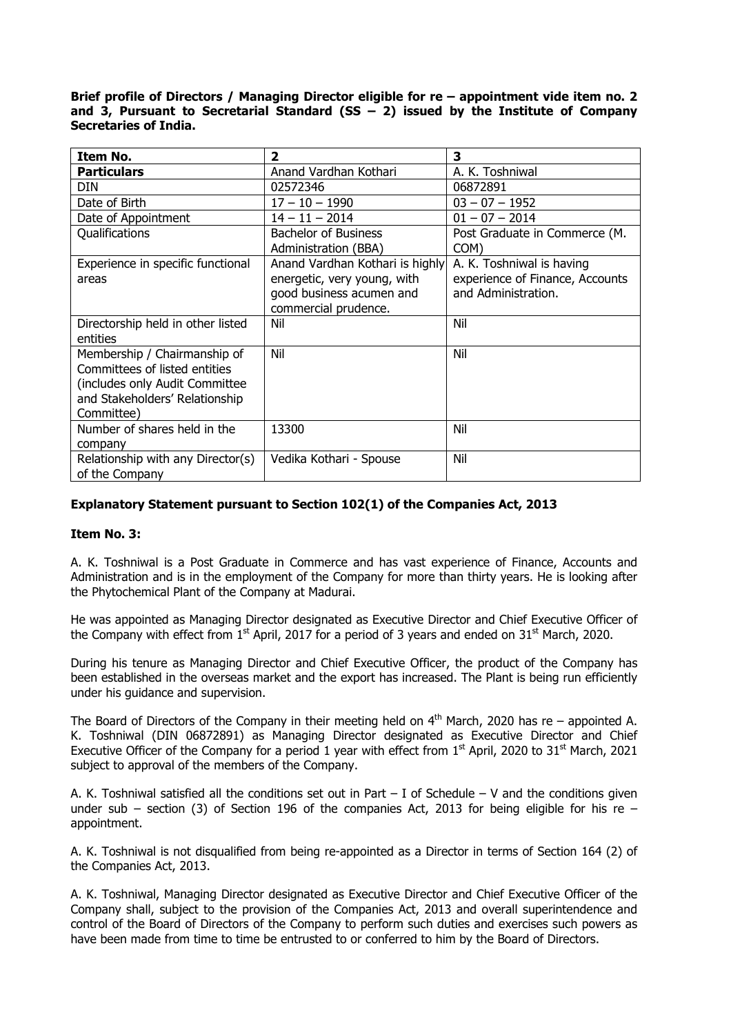**Brief profile of Directors / Managing Director eligible for re – appointment vide item no. 2 and 3, Pursuant to Secretarial Standard (SS – 2) issued by the Institute of Company Secretaries of India.** 

| Item No.                          | 2                               | 3                               |
|-----------------------------------|---------------------------------|---------------------------------|
| <b>Particulars</b>                | Anand Vardhan Kothari           | A. K. Toshniwal                 |
| <b>DIN</b>                        | 02572346                        | 06872891                        |
| Date of Birth                     | $17 - 10 - 1990$                | $03 - 07 - 1952$                |
| Date of Appointment               | $14 - 11 - 2014$                | $01 - 07 - 2014$                |
| Qualifications                    | <b>Bachelor of Business</b>     | Post Graduate in Commerce (M.   |
|                                   | Administration (BBA)            | COM)                            |
| Experience in specific functional | Anand Vardhan Kothari is highly | A. K. Toshniwal is having       |
| areas                             | energetic, very young, with     | experience of Finance, Accounts |
|                                   | good business acumen and        | and Administration.             |
|                                   | commercial prudence.            |                                 |
| Directorship held in other listed | Nil                             | Nil                             |
| entities                          |                                 |                                 |
| Membership / Chairmanship of      | Nil                             | Nil                             |
| Committees of listed entities     |                                 |                                 |
| (includes only Audit Committee    |                                 |                                 |
| and Stakeholders' Relationship    |                                 |                                 |
| Committee)                        |                                 |                                 |
| Number of shares held in the      | 13300                           | Nil                             |
| company                           |                                 |                                 |
| Relationship with any Director(s) | Vedika Kothari - Spouse         | Nil                             |
| of the Company                    |                                 |                                 |

## **Explanatory Statement pursuant to Section 102(1) of the Companies Act, 2013**

#### **Item No. 3:**

A. K. Toshniwal is a Post Graduate in Commerce and has vast experience of Finance, Accounts and Administration and is in the employment of the Company for more than thirty years. He is looking after the Phytochemical Plant of the Company at Madurai.

He was appointed as Managing Director designated as Executive Director and Chief Executive Officer of the Company with effect from 1<sup>st</sup> April, 2017 for a period of 3 years and ended on 31<sup>st</sup> March, 2020.

During his tenure as Managing Director and Chief Executive Officer, the product of the Company has been established in the overseas market and the export has increased. The Plant is being run efficiently under his guidance and supervision.

The Board of Directors of the Company in their meeting held on  $4<sup>th</sup>$  March, 2020 has re – appointed A. K. Toshniwal (DIN 06872891) as Managing Director designated as Executive Director and Chief Executive Officer of the Company for a period 1 year with effect from  $1<sup>st</sup>$  April, 2020 to 31 $<sup>st</sup>$  March, 2021</sup> subject to approval of the members of the Company.

A. K. Toshniwal satisfied all the conditions set out in Part  $-$  I of Schedule  $-$  V and the conditions given under sub – section (3) of Section 196 of the companies Act, 2013 for being eligible for his re – appointment.

A. K. Toshniwal is not disqualified from being re-appointed as a Director in terms of Section 164 (2) of the Companies Act, 2013.

A. K. Toshniwal, Managing Director designated as Executive Director and Chief Executive Officer of the Company shall, subject to the provision of the Companies Act, 2013 and overall superintendence and control of the Board of Directors of the Company to perform such duties and exercises such powers as have been made from time to time be entrusted to or conferred to him by the Board of Directors.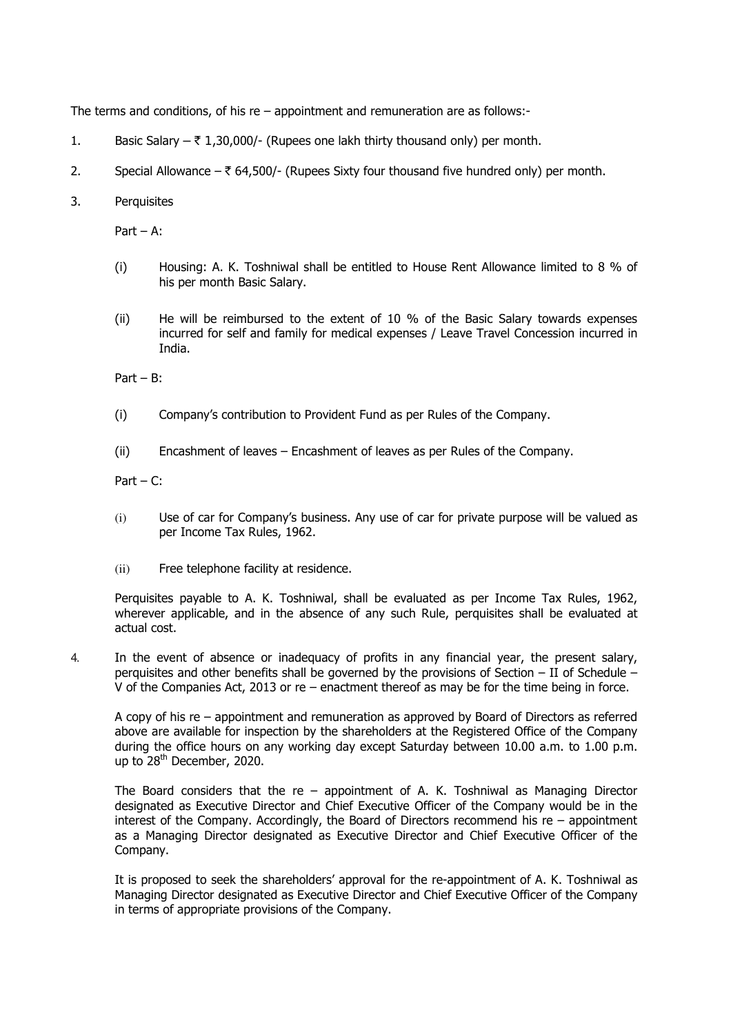The terms and conditions, of his re – appointment and remuneration are as follows:-

- 1. Basic Salary  $-\bar{\tau}$  1,30,000/- (Rupees one lakh thirty thousand only) per month.
- 2. Special Allowance  $\bar{\tau}$  64,500/- (Rupees Sixty four thousand five hundred only) per month.
- 3. Perquisites

Part – A:

- (i) Housing: A. K. Toshniwal shall be entitled to House Rent Allowance limited to 8 % of his per month Basic Salary.
- (ii) He will be reimbursed to the extent of 10 % of the Basic Salary towards expenses incurred for self and family for medical expenses / Leave Travel Concession incurred in India.

Part – B:

- (i) Company's contribution to Provident Fund as per Rules of the Company.
- (ii) Encashment of leaves Encashment of leaves as per Rules of the Company.

Part –  $C$ :

- (i) Use of car for Company's business. Any use of car for private purpose will be valued as per Income Tax Rules, 1962.
- (ii) Free telephone facility at residence.

Perquisites payable to A. K. Toshniwal, shall be evaluated as per Income Tax Rules, 1962, wherever applicable, and in the absence of any such Rule, perquisites shall be evaluated at actual cost.

4. In the event of absence or inadequacy of profits in any financial year, the present salary, perquisites and other benefits shall be governed by the provisions of Section – II of Schedule – V of the Companies Act, 2013 or re – enactment thereof as may be for the time being in force.

A copy of his re – appointment and remuneration as approved by Board of Directors as referred above are available for inspection by the shareholders at the Registered Office of the Company during the office hours on any working day except Saturday between 10.00 a.m. to 1.00 p.m. up to 28<sup>th</sup> December, 2020.

The Board considers that the  $re -$  appointment of A. K. Toshniwal as Managing Director designated as Executive Director and Chief Executive Officer of the Company would be in the interest of the Company. Accordingly, the Board of Directors recommend his re – appointment as a Managing Director designated as Executive Director and Chief Executive Officer of the Company.

It is proposed to seek the shareholders' approval for the re-appointment of A. K. Toshniwal as Managing Director designated as Executive Director and Chief Executive Officer of the Company in terms of appropriate provisions of the Company.